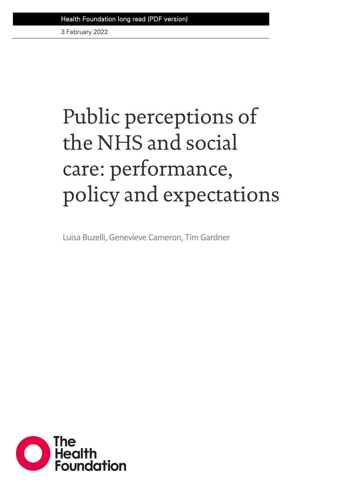3 February 2022

# Public perceptions of the NHS and social care: performance, policy and expectations

Luisa Buzelli, Genevieve Cameron, Tim Gardner

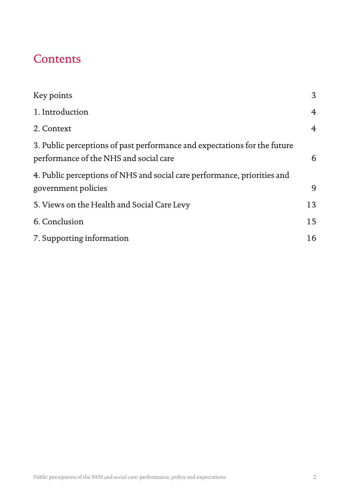## **Contents**

| Key points                                                                                                          | 3              |
|---------------------------------------------------------------------------------------------------------------------|----------------|
| 1. Introduction                                                                                                     | $\overline{4}$ |
| 2. Context                                                                                                          | $\overline{4}$ |
| 3. Public perceptions of past performance and expectations for the future<br>performance of the NHS and social care | 6              |
| 4. Public perceptions of NHS and social care performance, priorities and<br>government policies                     | 9              |
| 5. Views on the Health and Social Care Levy                                                                         | 13             |
| 6. Conclusion                                                                                                       | 15             |
| 7. Supporting information                                                                                           | 16             |
|                                                                                                                     |                |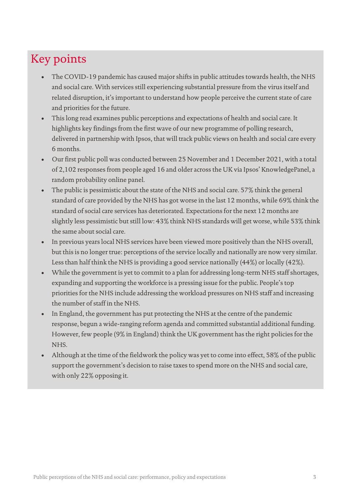# Key points

- The COVID-19 pandemic has caused major shifts in public attitudes towards health, the NHS and social care. With services still experiencing substantial pressure from the virus itself and related disruption, it's important to understand how people perceive the current state of care and priorities for the future.
- This long read examines public perceptions and expectations of health and social care. It highlights key findings from the first wave of our new programme of polling research, delivered in partnership with Ipsos, that will track public views on health and social care every 6 months.
- Our first public poll was conducted between 25 November and 1 December 2021, with a total of 2,102 responses from people aged 16 and older across the UK via Ipsos' KnowledgePanel, a random probability online panel.
- The public is pessimistic about the state of the NHS and social care. 57% think the general standard of care provided by the NHS has got worse in the last 12 months, while 69% think the standard of social care services has deteriorated. Expectations for the next 12 months are slightly less pessimistic but still low: 43% think NHS standards will get worse, while 53% think the same about social care.
- In previous years local NHS services have been viewed more positively than the NHS overall, but this is no longer true: perceptions of the service locally and nationally are now very similar. Less than half think the NHS is providing a good service nationally (44%) or locally (42%).
- While the government is yet to commit to a plan for addressing long-term NHS staff shortages, expanding and supporting the workforce is a pressing issue for the public. People's top priorities for the NHS include addressing the workload pressures on NHS staff and increasing the number of staff in the NHS.
- In England, the government has put protecting the NHS at the centre of the pandemic response, begun a wide-ranging reform agenda and committed substantial additional funding. However, few people (9% in England) think the UK government has the right policies for the NHS.
- Although at the time of the fieldwork the policy was yet to come into effect, 58% of the public support the government's decision to raise taxes to spend more on the NHS and social care, with only 22% opposing it.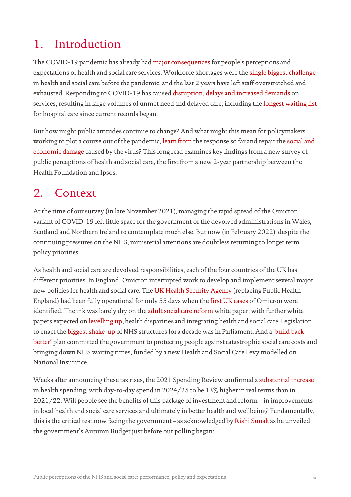# 1. Introduction

The COVID-19 pandemic has already ha[d major consequences](https://www.health.org.uk/publications/public-perceptions-of-health-and-social-care-in-light-of-covid-19-november-2020) for people's perceptions and expectations of health and social care services. Workforce shortages were the [single biggest challenge](https://www.health.org.uk/news-and-comment/consultation-responses/workforce-burnout-and-resilience-in-the-nhs-and-social-care) in health and social care before the pandemic, and the last 2 years have left staff overstretched and exhausted. Responding to COVID-19 has cause[d disruption, delays and increased demands](https://www.health.org.uk/publications/reports/the-nhs-long-term-plan-and-covid-19) on services, resulting in large volumes of unmet need and delayed care, including th[e longest waiting list](https://www.health.org.uk/news-and-comment/charts-and-infographics/how-is-elective-care-coping-with-the-continuing-impact-of-covid-19) for hospital care since current records began.

But how might public attitudes continue to change? And what might this mean for policymakers working to plot a course out of the pandemic[, learn from](https://www.gov.uk/government/news/prime-minister-announces-covid-19-inquiry-chair) the response so far and repair th[e social and](https://www.health.org.uk/publications/reports/unequal-pandemic-fairer-recovery)  [economic damage](https://www.health.org.uk/publications/reports/unequal-pandemic-fairer-recovery) caused by the virus? This long read examines key findings from a new survey of public perceptions of health and social care, the first from a new 2-year partnership between the Health Foundation and Ipsos.

## 2. Context

At the time of our survey (in late November 2021), managing the rapid spread of the Omicron variant of COVID-19 left little space for the government or the devolved administrations in Wales, Scotland and Northern Ireland to contemplate much else. But now (in February 2022), despite the continuing pressures on the NHS, ministerial attentions are doubtless returning to longer term policy priorities.

As health and social care are devolved responsibilities, each of the four countries of the UK has different priorities. In England, Omicron interrupted work to develop and implement several major new policies for health and social care. Th[e UK Health Security Agency](https://www.gov.uk/government/news/uk-health-security-agency-launches-with-a-relentless-focus-on-keeping-the-nation-safe) (replacing Public Health England) had been fully operational for only 55 days when th[e first UK cases](https://www.gov.uk/government/news/first-uk-cases-of-omicron-variant-identified) of Omicron were identified. The ink was barely dry on the [adult social care reform](https://www.gov.uk/government/publications/people-at-the-heart-of-care-adult-social-care-reform-white-paper) white paper, with further white papers expected o[n levelling up,](https://www.gov.uk/government/news/government-to-publish-levelling-up-white-paper) health disparities and integrating health and social care. Legislation to enact th[e biggest shake-up](https://www.bmj.com/content/372/bmj.n248) of NHS structures for a decade was in Parliament. And [a 'build back](https://www.gov.uk/government/publications/build-back-better-our-plan-for-health-and-social-care)  [better'](https://www.gov.uk/government/publications/build-back-better-our-plan-for-health-and-social-care) plan committed the government to protecting people against catastrophic social care costs and bringing down NHS waiting times, funded by a new Health and Social Care Levy modelled on National Insurance.

Weeks after announcing these tax rises, the 2021 Spending Review confirmed [a substantial increase](https://www.health.org.uk/news-and-comment/charts-and-infographics/spending-review-2021-what-it-means-for-health-and-social-care) in health spending, with day-to-day spend in 2024/25 to be 13% higher in real terms than in 2021/22. Will people see the benefits of this package of investment and reform – in improvements in local health and social care services and ultimately in better health and wellbeing? Fundamentally, this is the critical test now facing the government – as acknowledged by [Rishi Sunak](https://www.gov.uk/government/speeches/autumn-budget-and-spending-review-2021-speech) as he unveiled the government's Autumn Budget just before our polling began: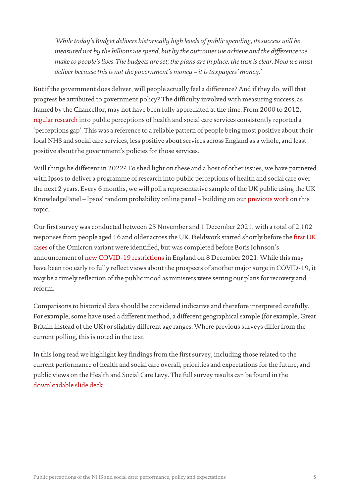*'While today's Budget delivers historically high levels of public spending, its success will be measured not by the billions we spend, but by the outcomes we achieve and the difference we make to people's lives. The budgets are set; the plans are in place; the task is clear. Now we must deliver because this is not the government's money – it is taxpayers' money.'*

But if the government does deliver, will people actually feel a difference? And if they do, will that progress be attributed to government policy? The difficulty involved with measuring success, as framed by the Chancellor, may not have been fully appreciated at the time. From 2000 to 2012, [regular research](https://www.gov.uk/government/publications/survey-of-public-perceptions-of-the-nhs-and-social-care) into public perceptions of health and social care services consistently reported a 'perceptions gap'. This was a reference to a reliable pattern of people being most positive about their local NHS and social care services, less positive about services across England as a whole, and least positive about the government's policies for those services.

Will things be different in 2022? To shed light on these and a host of other issues, we have partnered with Ipsos to deliver a programme of research into public perceptions of health and social care over the next 2 years. Every 6 months, we will poll a representative sample of the UK public using the UK KnowledgePanel – Ipsos' random probability online panel – building on our [previous work](https://www.health.org.uk/publications/public-perceptions-of-health-and-social-care-in-light-of-covid-19-november-2020) on this topic.

Our first survey was conducted between 25 November and 1 December 2021, with a total of 2,102 responses from people aged 16 and older across the UK. Fieldwork started shortly before the [first UK](https://www.gov.uk/government/news/first-uk-cases-of-omicron-variant-identified)  [cases](https://www.gov.uk/government/news/first-uk-cases-of-omicron-variant-identified) of the Omicron variant were identified, but was completed before Boris Johnson's announcement of [new COVID-19 restrictions](https://www.gov.uk/government/news/prime-minister-confirms-move-to-plan-b-in-england) in England on 8 December 2021. While this may have been too early to fully reflect views about the prospects of another major surge in COVID-19, it may be a timely reflection of the public mood as ministers were setting out plans for recovery and reform.

Comparisons to historical data should be considered indicative and therefore interpreted carefully. For example, some have used a different method, a different geographical sample (for example, Great Britain instead of the UK) or slightly different age ranges. Where previous surveys differ from the current polling, this is noted in the text.

In this long read we highlight key findings from the first survey, including those related to the current performance of health and social care overall, priorities and expectations for the future, and public views on the Health and Social Care Levy. The full survey results can be found in the [downloadable slide deck.](https://www.health.org.uk/publications/public-perceptions-of-health-and-social-care-november-december-2021)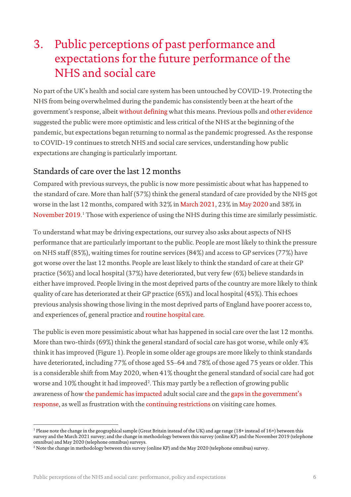# 3. Public perceptions of past performance and expectations for the future performance of the NHS and social care

No part of the UK's health and social care system has been untouched by COVID-19. Protecting the NHS from being overwhelmed during the pandemic has consistently been at the heart of the government's response, albeit [without defining](https://www.bmj.com/content/376/bmj.o51) what this means. Previous polls and [other evidence](https://www.cqc.org.uk/sites/default/files/20201118_COVID-IP-survey_report.pdf) suggested the public were more optimistic and less critical of the NHS at the beginning of the pandemic, but expectations began returning to normal as the pandemic progressed. As the response to COVID-19 continues to stretch NHS and social care services, understanding how public expectations are changing is particularly important.

### Standards of care over the last 12 months

Compared with previous surveys, the public is now more pessimistic about what has happened to the standard of care. More than half (57%) think the general standard of care provided by the NHS got worse in the last 12 months, compared with 32% in [March 2021,](https://www.health.org.uk/about-the-health-foundation/get-involved/events/webinar-how-will-the-public-mood-shape-care-after-the-pandemic) 23% i[n May 2020](https://www.health.org.uk/publications/reports/public-perceptions-of-health-and-social-care-in-light-of-covid-19-may-2020) and 38% in [November 2019.](https://www.health.org.uk/publications/reports/public-perceptions-of-health-and-social-care-2019) [1](#page-5-0) Those with experience of using the NHS during this time are similarly pessimistic.

To understand what may be driving expectations, our survey also asks about aspects of NHS performance that are particularly important to the public. People are most likely to think the pressure on NHS staff (85%), waiting times for routine services (84%) and access to GP services (77%) have got worse over the last 12 months. People are least likely to think the standard of care at their GP practice (56%) and local hospital (37%) have deteriorated, but very few (6%) believe standards in either have improved. People living in the most deprived parts of the country are more likely to think quality of care has deteriorated at their GP practice (65%) and local hospital (45%). This echoes previous analysis showing those living in the most deprived parts of England have poorer access to, and experiences of, [general practice](https://www.health.org.uk/publications/reports/tackling-the-inverse-care-law) an[d routine hospital care.](https://www.health.org.uk/news-and-comment/charts-and-infographics/elective-care-how-has-covid-19-affected-the-waiting-list)

The public is even more pessimistic about what has happened in social care over the last 12 months. More than two-thirds (69%) think the general standard of social care has got worse, while only 4% think it has improved (Figure 1). People in some older age groups are more likely to think standards have deteriorated, including 77% of those aged 55–64 and 78% of those aged 75 years or older. This is a considerable shift from May 2020, when 41% thought the general standard of social care had got worse and  $10\%$  thought it had improved $^2$  $^2$ . This may partly be a reflection of growing public awareness of how [the pandemic has impacted](https://www.health.org.uk/publications/reports/adult-social-care-and-covid-19-assessing-the-impact-on-social-care-users-and-staff-in-england-so-far) adult social care and the [gaps in the government's](https://www.health.org.uk/publications/reports/adult-social-care-and-covid-19-after-the-first-wave)  [response,](https://www.health.org.uk/publications/reports/adult-social-care-and-covid-19-after-the-first-wave) as well as frustration with th[e continuing restrictions](https://www.gov.uk/government/publications/visiting-care-homes-during-coronavirus/update-on-policies-for-visiting-arrangements-in-care-homes) on visiting care homes.

<span id="page-5-0"></span><sup>&</sup>lt;sup>1</sup> Please note the change in the geographical sample (Great Britain instead of the UK) and age range (18+ instead of 16+) between this survey and the March 2021 survey; and the change in methodology between this survey (online KP) and the November 2019 (telephone omnibus) and May 2020 (telephone omnibus) surveys.

<span id="page-5-1"></span><sup>2</sup> Note the change in methodology between this survey (online KP) and the May 2020 (telephone omnibus) survey.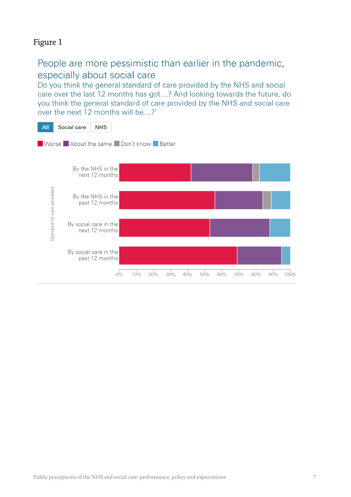## Figure 1

## People are more pessimistic than earlier in the pandemic, especially about social care

Do you think the general standard of care provided by the NHS and social care over the last 12 months has got...? And looking towards the future, do you think the general standard of care provided by the NHS and social care over the next 12 months will be...?'

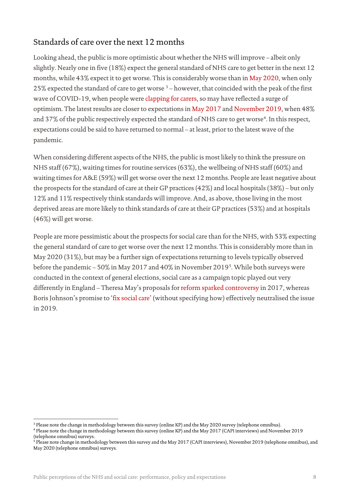## Standards of care over the next 12 months

Looking ahead, the public is more optimistic about whether the NHS will improve – albeit only slightly. Nearly one in five (18%) expect the general standard of NHS care to get better in the next 12 months, while 43% expect it to get worse. This is considerably worse than in [May 2020,](https://www.health.org.uk/sites/default/files/2020-06/Health-Foundation-2020-COVID-19-Polling-v2.pdf) when only 25% expected the standard of care to get worse  $3$  – however, that coincided with the peak of the first wave of COVID-19, when people wer[e clapping for carers,](https://onlinelibrary.wiley.com/doi/10.1111/hsc.13474) so may have reflected a surge of optimism. The latest results are closer to expectations i[n May 2017](https://www.ipsos.com/ipsos-mori/en-uk/polling-health-foundation-0) and [November 2019,](https://www.health.org.uk/publications/reports/public-perceptions-of-health-and-social-care-2019) when 48% and 37% of the public respectively expected the standard of NHS care to get worse<sup>[4](#page-7-1)</sup>. In this respect, expectations could be said to have returned to normal – at least, prior to the latest wave of the pandemic.

When considering different aspects of the NHS, the public is most likely to think the pressure on NHS staff (67%), waiting times for routine services (63%), the wellbeing of NHS staff (60%) and waiting times for A&E (59%) will get worse over the next 12 months. People are least negative about the prospects for the standard of care at their GP practices (42%) and local hospitals (38%) – but only 12% and 11% respectively think standards will improve. And, as above, those living in the most deprived areas are more likely to think standards of care at their GP practices (53%) and at hospitals (46%) will get worse.

People are more pessimistic about the prospects for social care than for the NHS, with 53% expecting the general standard of care to get worse over the next 12 months. This is considerably more than in May 2020 (31%), but may be a further sign of expectations returning to levels typically observed before the pandemic – 50% i[n May 2017](https://www.ipsos.com/ipsos-mori/en-uk/polling-health-foundation-0) and 40% i[n November 2019](https://www.health.org.uk/sites/default/files/upload/publications/2019/THF-Public-perceptions-of-health-and-social-care-Dec19.pdf)<sup>[5](#page-7-2)</sup>. While both surveys were conducted in the context of general elections, social care as a campaign topic played out very differently in England – Theresa May's proposals fo[r reform sparked controversy](https://www.bbc.co.uk/news/election-2017-40001221) in 2017, whereas Boris Johnson's promise to ['fix social care'](https://www.health.org.uk/publications/long-reads/what-should-be-done-to-fix-the-crisis-in-social-care) (without specifying how) effectively neutralised the issue in 2019.

<span id="page-7-0"></span><sup>3</sup> Please note the change in methodology between this survey (online KP) and the May 2020 survey (telephone omnibus).

<span id="page-7-1"></span><sup>4</sup> Please note the change in methodology between this survey (online KP) and the May 2017 (CAPI interviews) and November 2019 (telephone omnibus) surveys.

<span id="page-7-2"></span><sup>&</sup>lt;sup>5</sup> Please note change in methodology between this survey and the May 2017 (CAPI interviews), November 2019 (telephone omnibus), and May 2020 (telephone omnibus) surveys.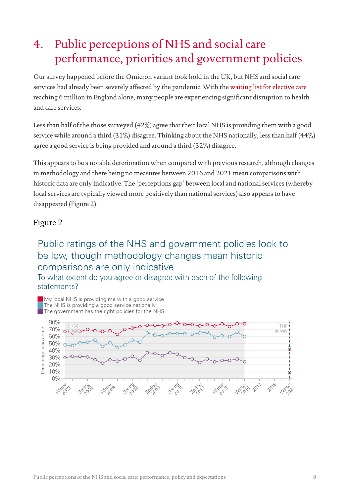# 4. Public perceptions of NHS and social care performance, priorities and government policies

Our survey happened before the Omicron variant took hold in the UK, but NHS and social care services had already been severely affected by the pandemic. With th[e waiting list for elective care](https://www.england.nhs.uk/statistics/statistical-work-areas/rtt-waiting-times/) reaching 6 million in England alone, many people are experiencing significant disruption to health and care services.

Less than half of the those surveyed (42%) agree that their local NHS is providing them with a good service while around a third (31%) disagree. Thinking about the NHS nationally, less than half (44%) agree a good service is being provided and around a third (32%) disagree.

This appears to be a notable deterioration when compared with previous research, although changes in methodology and there being no measures between 2016 and 2021 mean comparisons with historic data are only indicative. The 'perceptions gap' between local and national services (whereby local services are typically viewed more positively than national services) also appears to have disappeared (Figure 2).

#### Figure 2

## Public ratings of the NHS and government policies look to be low, though methodology changes mean historic comparisons are only indicative

To what extent do you agree or disagree with each of the following statements?

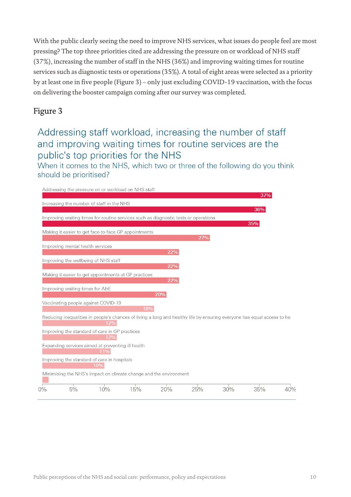With the public clearly seeing the need to improve NHS services, what issues do people feel are most pressing? The top three priorities cited are addressing the pressure on or workload of NHS staff (37%), increasing the number of staff in the NHS (36%) and improving waiting times for routine services such as diagnostic tests or operations (35%). A total of eight areas were selected as a priority by at least one in five people (Figure 3) – only just excluding COVID-19 vaccination, with the focus on delivering the booster campaign coming after our survey was completed.

#### Figure 3

## Addressing staff workload, increasing the number of staff and improving waiting times for routine services are the public's top priorities for the NHS

When it comes to the NHS, which two or three of the following do you think should be prioritised?

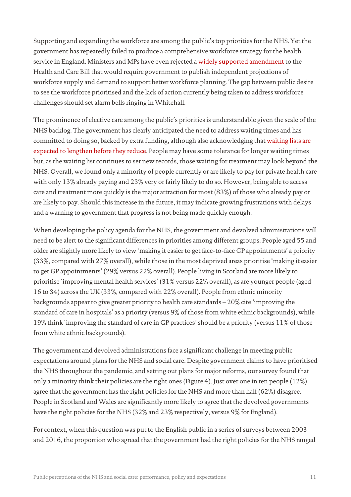Supporting and expanding the workforce are among the public's top priorities for the NHS. Yet the government has repeatedly failed to produce a comprehensive workforce strategy for the health service in England. Ministers and MPs have even rejected a [widely supported amendment](https://www.health.org.uk/news-and-comment/news/the-health-and-care-bill-must-be-amended-to-help-make-workforce-shortages-a-thing-of-the-past) to the Health and Care Bill that would require government to publish independent projections of workforce supply and demand to support better workforce planning. The gap between public desire to see the workforce prioritised and the lack of action currently being taken to address workforce challenges should set alarm bells ringing in Whitehall.

The prominence of elective care among the public's priorities is understandable given the scale of the NHS backlog. The government has clearly anticipated the need to address waiting times and has committed to doing so, backed by extra funding, although also acknowledging tha[t waiting lists are](https://www.gov.uk/government/publications/build-back-better-our-plan-for-health-and-social-care/build-back-better-our-plan-for-health-and-social-care)  [expected to lengthen before they reduce.](https://www.gov.uk/government/publications/build-back-better-our-plan-for-health-and-social-care/build-back-better-our-plan-for-health-and-social-care) People may have some tolerance for longer waiting times but, as the waiting list continues to set new records, those waiting for treatment may look beyond the NHS. Overall, we found only a minority of people currently or are likely to pay for private health care with only 13% already paying and 23% very or fairly likely to do so. However, being able to access care and treatment more quickly is the major attraction for most (83%) of those who already pay or are likely to pay. Should this increase in the future, it may indicate growing frustrations with delays and a warning to government that progress is not being made quickly enough.

When developing the policy agenda for the NHS, the government and devolved administrations will need to be alert to the significant differences in priorities among different groups. People aged 55 and older are slightly more likely to view 'making it easier to get face-to-face GP appointments' a priority (33%, compared with 27% overall), while those in the most deprived areas prioritise 'making it easier to get GP appointments' (29% versus 22% overall). People living in Scotland are more likely to prioritise 'improving mental health services' (31% versus 22% overall), as are younger people (aged 16 to 34) across the UK (33%, compared with 22% overall). People from ethnic minority backgrounds appear to give greater priority to health care standards – 20% cite 'improving the standard of care in hospitals' as a priority (versus 9% of those from white ethnic backgrounds), while 19% think 'improving the standard of care in GP practices' should be a priority (versus 11% of those from white ethnic backgrounds).

The government and devolved administrations face a significant challenge in meeting public expectations around plans for the NHS and social care. Despite government claims to have prioritised the NHS throughout the pandemic, and setting out plans for major reforms, our survey found that only a minority think their policies are the right ones (Figure 4). Just over one in ten people (12%) agree that the government has the right policies for the NHS and more than half (62%) disagree. People in Scotland and Wales are significantly more likely to agree that the devolved governments have the right policies for the NHS (32% and 23% respectively, versus 9% for England).

For context, when this question was put to the English public in a series of surveys between 2003 and 2016, the proportion who agreed that the government had the right policies for the NHS ranged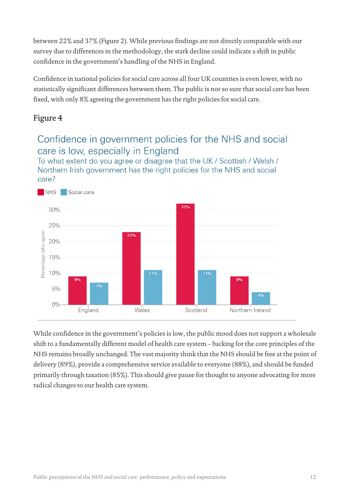between 22% and 37% (Figure 2). While previous findings are not directly comparable with our survey due to differences in the methodology, the stark decline could indicate a shift in public confidence in the government's handling of the NHS in England.

Confidence in national policies for social care across all four UK countries is even lower, with no statistically significant differences between them. The public is not so sure that social care has been fixed, with only 8% agreeing the government has the right policies for social care.

## Figure 4

## Confidence in government policies for the NHS and social care is low, especially in England

To what extent do you agree or disagree that the UK / Scottish / Welsh / Northern Irish government has the right policies for the NHS and social care?



While confidence in the government's policies is low, the public mood does not support a wholesale shift to a fundamentally different model of health care system – backing for the core principles of the NHS remains broadly unchanged. The vast majority think that the NHS should be free at the point of delivery (89%), provide a comprehensive service available to everyone (88%), and should be funded primarily through taxation (85%). This should give pause for thought to anyone advocating for more radical changes to our health care system.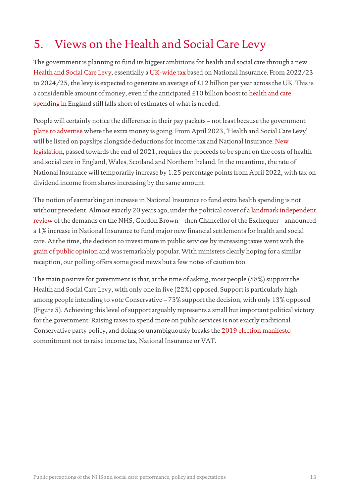# 5. Views on the Health and Social Care Levy

The government is planning to fund its biggest ambitions for health and social care through a new [Health and Social Care Levy,](https://www.gov.uk/government/publications/health-and-social-care-levy/health-and-social-care-levy) essentially [a UK-wide tax](https://obr.uk/efo/economic-and-fiscal-outlook-october-2021/) based on National Insurance. From 2022/23 to 2024/25, the levy is expected to generate an average of £12 billion per year across the UK. This is a considerable amount of money, even if the anticipated £10 billion boost to health and care [spending](https://www.health.org.uk/news-and-comment/charts-and-infographics/spending-review-2021-what-it-means-for-health-and-social-care) in England still falls short of estimates of what is needed.

People will certainly notice the difference in their pay packets – not least because the government [plans to advertise](https://www.gov.uk/government/publications/build-back-better-our-plan-for-health-and-social-care/build-back-better-our-plan-for-health-and-social-care#our-new-funding-plan) where the extra money is going. From April 2023, 'Health and Social Care Levy' will be listed on payslips alongside deductions for income tax and National Insurance[. New](https://www.legislation.gov.uk/ukpga/2021/28/enacted)  [legislation,](https://www.legislation.gov.uk/ukpga/2021/28/enacted) passed towards the end of 2021, requires the proceeds to be spent on the costs of health and social care in England, Wales, Scotland and Northern Ireland. In the meantime, the rate of National Insurance will temporarily increase by 1.25 percentage points from April 2022, with tax on dividend income from shares increasing by the same amount.

The notion of earmarking an increase in National Insurance to fund extra health spending is not without precedent. Almost exactly 20 years ago, under the political cover of a [landmark independent](https://www.health.org.uk/publications/reports/revisiting-the-Wanless-review)  [review](https://www.health.org.uk/publications/reports/revisiting-the-Wanless-review) of the demands on the NHS, Gordon Brown – then Chancellor of the Exchequer – announced a 1% increase in National Insurance to fund major new financial settlements for health and social care. At the time, the decision to invest more in public services by increasing taxes went with the [grain of public opinion](https://www.ipsos.com/ipsos-mori/en-uk/tax-and-spend) and was remarkably popular. With ministers clearly hoping for a similar reception, our polling offers some good news but a few notes of caution too.

The main positive for government is that, at the time of asking, most people (58%) support the Health and Social Care Levy, with only one in five (22%) opposed. Support is particularly high among people intending to vote Conservative – 75% support the decision, with only 13% opposed (Figure 5). Achieving this level of support arguably represents a small but important political victory for the government. Raising taxes to spend more on public services is not exactly traditional Conservative party policy, and doing so unambiguously breaks th[e 2019 election manifesto](https://www.conservatives.com/our-plan) commitment not to raise income tax, National Insurance or VAT.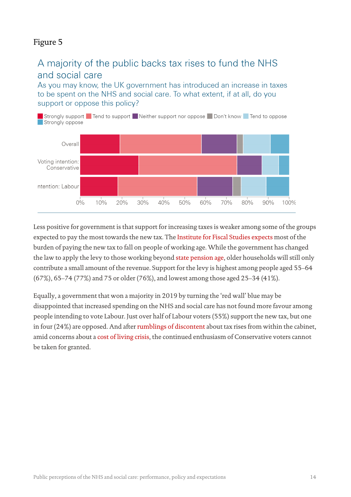#### Figure 5

## A majority of the public backs tax rises to fund the NHS and social care

As you may know, the UK government has introduced an increase in taxes to be spent on the NHS and social care. To what extent, if at all, do you support or oppose this policy?



Less positive for government is that support for increasing taxes is weaker among some of the groups expected to pay the most towards the new tax. Th[e Institute for Fiscal Studies expects](https://ifs.org.uk/publications/15597) most of the burden of paying the new tax to fall on people of working age. While the government has changed the law to apply the levy to those working beyond [state pension age,](https://bills.parliament.uk/bills/3041/publications) older households will still only contribute a small amount of the revenue. Support for the levy is highest among people aged 55–64 (67%), 65–74 (77%) and 75 or older (76%), and lowest among those aged 25–34 (41%).

Equally, a government that won a majority in 2019 by turning the 'red wall' blue may be disappointed that increased spending on the NHS and social care has not found more favour among people intending to vote Labour. Just over half of Labour voters (55%) support the new tax, but one in four (24%) are opposed. And afte[r rumblings of discontent](https://www.theguardian.com/money/2022/jan/27/treasury-unease-over-fears-of-no-10-u-turn-on-national-insurance-hike) about tax rises from within the cabinet, amid concerns about a [cost of living crisis,](https://www.resolutionfoundation.org/publications/labour-market-outlook-q4-2021/) the continued enthusiasm of Conservative voters cannot be taken for granted.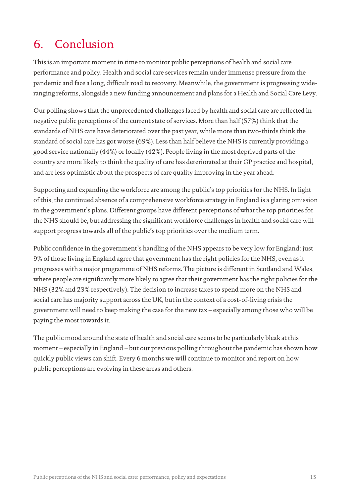# 6. Conclusion

This is an important moment in time to monitor public perceptions of health and social care performance and policy. Health and social care services remain under immense pressure from the pandemic and face a long, difficult road to recovery. Meanwhile, the government is progressing wideranging reforms, alongside a new funding announcement and plans for a Health and Social Care Levy.

Our polling shows that the unprecedented challenges faced by health and social care are reflected in negative public perceptions of the current state of services. More than half (57%) think that the standards of NHS care have deteriorated over the past year, while more than two-thirds think the standard of social care has got worse (69%). Less than half believe the NHS is currently providing a good service nationally (44%) or locally (42%). People living in the most deprived parts of the country are more likely to think the quality of care has deteriorated at their GP practice and hospital, and are less optimistic about the prospects of care quality improving in the year ahead.

Supporting and expanding the workforce are among the public's top priorities for the NHS. In light of this, the continued absence of a comprehensive workforce strategy in England is a glaring omission in the government's plans. Different groups have different perceptions of what the top priorities for the NHS should be, but addressing the significant workforce challenges in health and social care will support progress towards all of the public's top priorities over the medium term.

Public confidence in the government's handling of the NHS appears to be very low for England: just 9% of those living in England agree that government has the right policies for the NHS, even as it progresses with a major programme of NHS reforms. The picture is different in Scotland and Wales, where people are significantly more likely to agree that their government has the right policies for the NHS (32% and 23% respectively). The decision to increase taxes to spend more on the NHS and social care has majority support across the UK, but in the context of a cost-of-living crisis the government will need to keep making the case for the new tax – especially among those who will be paying the most towards it.

The public mood around the state of health and social care seems to be particularly bleak at this moment – especially in England – but our previous polling throughout the pandemic has shown how quickly public views can shift. Every 6 months we will continue to monitor and report on how public perceptions are evolving in these areas and others.